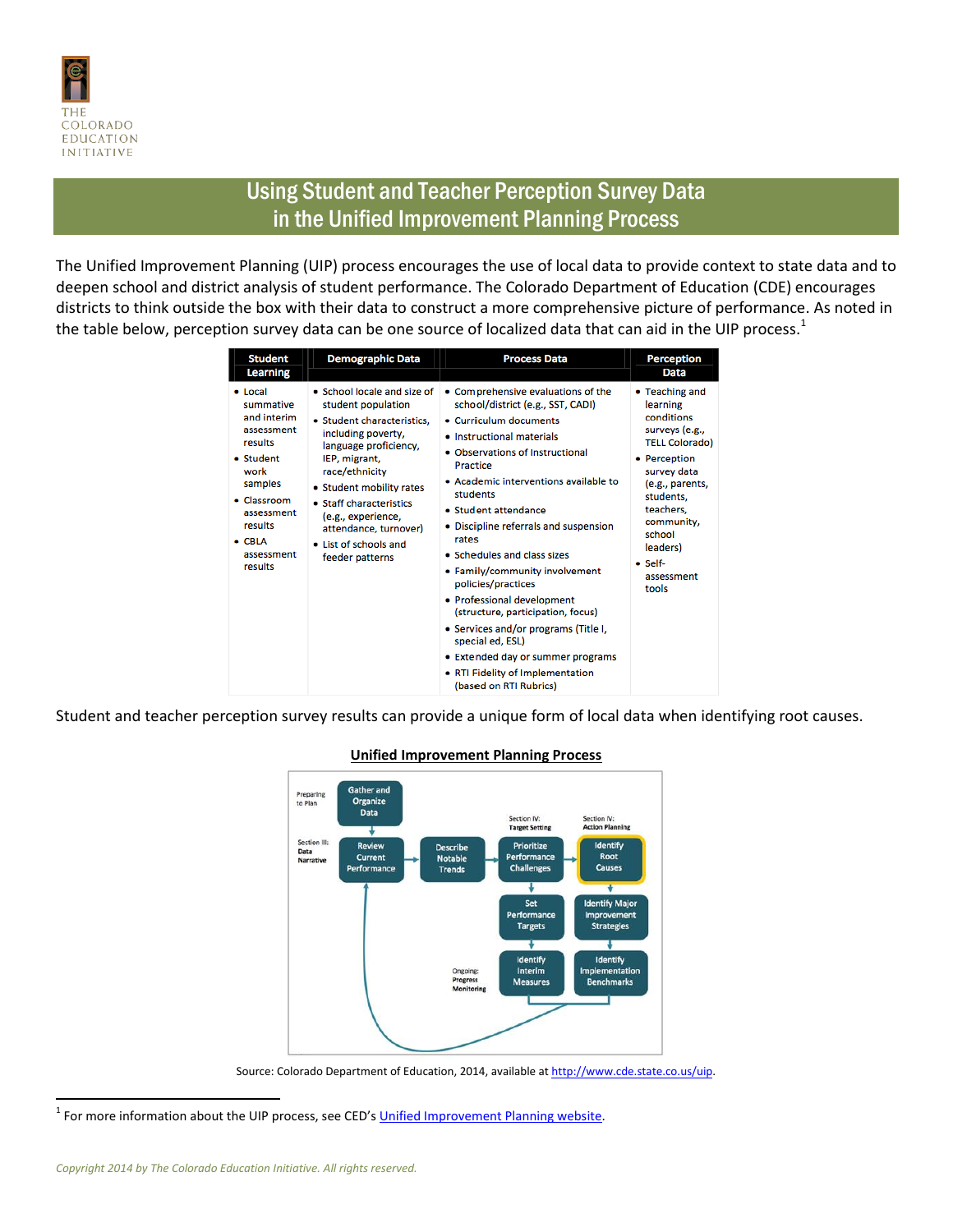

## Using Student and Teacher Perception Survey Data in the Unified Improvement Planning Process

The Unified Improvement Planning (UIP) process encourages the use of local data to provide context to state data and to deepen school and district analysis of student performance. The Colorado Department of Education (CDE) encourages districts to think outside the box with their data to construct a more comprehensive picture of performance. As noted in the table below, perception survey data can be one source of localized data that can aid in the UIP process.<sup>1</sup>

| <b>Student</b><br><b>Learning</b>                                                                                                                                                       | <b>Demographic Data</b>                                                                                                                                                                                                                                                                                             | <b>Process Data</b>                                                                                                                                                                                                                                                                                                                                                                                                                                                                                                                                                                                                                   | Perception<br>Data                                                                                                                                                                                                                    |
|-----------------------------------------------------------------------------------------------------------------------------------------------------------------------------------------|---------------------------------------------------------------------------------------------------------------------------------------------------------------------------------------------------------------------------------------------------------------------------------------------------------------------|---------------------------------------------------------------------------------------------------------------------------------------------------------------------------------------------------------------------------------------------------------------------------------------------------------------------------------------------------------------------------------------------------------------------------------------------------------------------------------------------------------------------------------------------------------------------------------------------------------------------------------------|---------------------------------------------------------------------------------------------------------------------------------------------------------------------------------------------------------------------------------------|
| • Local<br>summative<br>and interim<br>assessment<br>results<br>• Student<br>work<br>samples<br>$\bullet$ Classroom<br>assessment<br>results<br>$\bullet$ CBLA<br>assessment<br>results | • School locale and size of<br>student population<br>• Student characteristics,<br>including poverty,<br>language proficiency,<br>IEP, migrant,<br>race/ethnicity<br>• Student mobility rates<br>• Staff characteristics<br>(e.g., experience,<br>attendance, turnover)<br>• List of schools and<br>feeder patterns | • Comprehensive evaluations of the<br>school/district (e.g., SST, CADI)<br>• Curriculum documents<br>• Instructional materials<br>• Observations of Instructional<br>Practice<br>• Academic interventions available to<br>students<br>• Student attendance<br>• Discipline referrals and suspension<br>rates<br>• Schedules and class sizes<br>• Family/community involvement<br>policies/practices<br>• Professional development<br>(structure, participation, focus)<br>• Services and/or programs (Title I,<br>special ed, ESL)<br>• Extended day or summer programs<br>• RTI Fidelity of Implementation<br>(based on RTI Rubrics) | • Teaching and<br>learning<br>conditions<br>surveys (e.g.,<br><b>TELL Colorado)</b><br>• Perception<br>survey data<br>(e.g., parents,<br>students.<br>teachers.<br>community,<br>school<br>leaders)<br>· Self-<br>assessment<br>tools |

Student and teacher perception survey results can provide a unique form of local data when identifying root causes.



## **Unified Improvement Planning Process**

Source: Colorado Department of Education, 2014, available a[t http://www.cde.state.co.us/uip.](http://www.cde.state.co.us/uip)

<sup>1</sup> For more information about the UIP process, see CED's <u>Unified Improvement Planning website</u>.

 $\overline{a}$